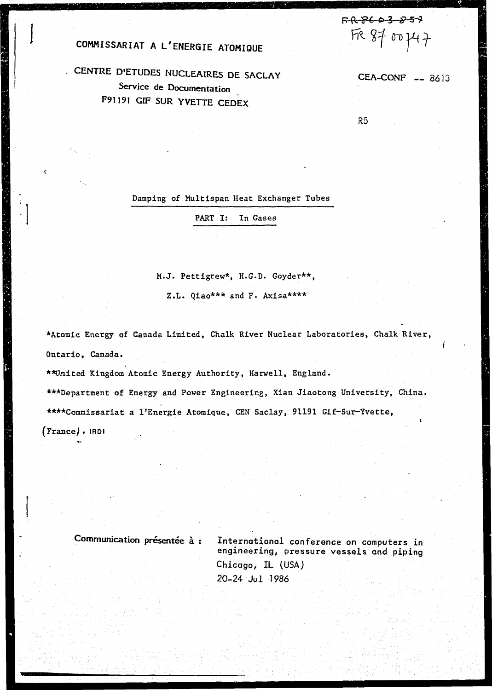COMMISSARIAT A L'ENERGIE ATOMIQUE

CENTRE D'ETUDES NUCLEAIRES DE SACLAY Service de Documentation F91191 GIF SUR YVETTE CEDEX

CEA-CONF -- 8613

FR8603857

FR 8700747

 $R5$ 

Damping of Multispan Heat Exchanger Tubes

PART I: In Gases

M.J. Pettigrew\*, H.G.D. Goyder\*\*,

Z.L. Qiao\*\*\* and F. Axisa\*\*\*\*

\*Atomic Energy of Canada Limited, Chalk River Nuclear Laboratories, Chalk River, Ontario, Canada.

\*\*United Kingdom Atomic Energy Authority, Harwell, England.

\*\*\*Department of Energy and Power Engineering, Xian Jiaotong University, China. \*\*\*\*Commissariat a l'Energie Atomique, CEN Saclay, 91191 Gif-Sur-Yvette,

(France), IRDI

牧作場協会 しょうせい こうかんしゅう

 $\mathbf{y}$ 

Communication présentée à :

International conference on computers in engineering, pressure vessels and piping Chicago, IL (USA) 20-24 Jul 1986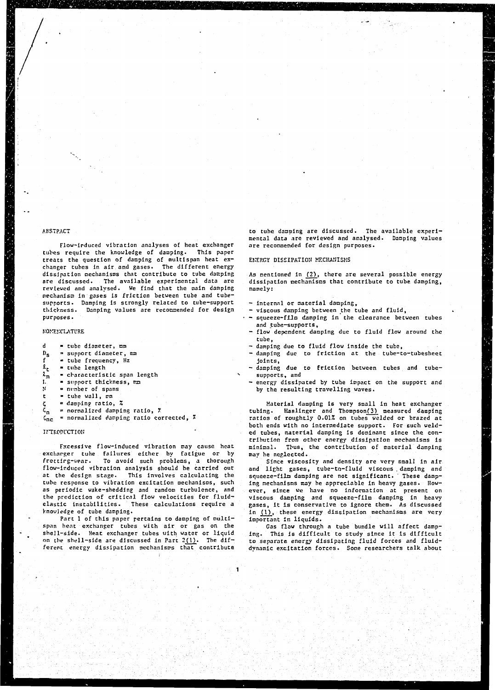# **ABSTRACT**

**Flow-Induced vibration analyses of heat exchanger tubes require the knowledge of damping. This paper treats the question of damping of multispan heat exchanger tuhes in air and gases. The different energy dissipation mechanisms that contribute to tube dacping are discussed. The available experimental data are reviewed and analysed. We find that the main damping mechanism in gases is friction between tube and tubesupports. Damping is strongly related to tube-support thickness. Damping values are reconnended for design purposes.** 

#### **NO.VES.'CI-ATl'RE**

- **d tube diameter, mm**
- $D_{\mathbf{S}}$ **support diameter, mm**
- **f tube frequency, Hz**
- \*t " **tube length**
- $\iota_{\mathtt{m}}$ **characteristic span length**
- I. **support thickness, nx>**
- N **number of spans**
- t **tube wall, mm**
- **Ç damping ratio,** *%*
- **«n = normalized damping ratio,** *7*
- **?nc normalized damping ratio corrected,** *%*

### **IfTRCDUCTIO»**

**Fxcessive flow-induced vibration may cause heat exchanger tube failures either by fatigue or by frettirg-wear. To avoid such problems, a thorough ficw-ir.duced vibration analysis should be carried out at the design stage. This involves calculating the tube response to vibration excitation mechanisms, such as periodic wake-shedding and random turbulence, and the prediction of critical flow velocities for fluidelastic instabilities. These calculations require a knowledge of tube damping.** 

**Part 1 of this paper pertains to damping of multispan heat exchanger tubes with air or gas on the shell-side. Heat exchanger tubes with water or liquid on the shell-side are discussed in Part 2(1). The different energy dissipation mechanisms that contribute** 

**to tube damping are discussed. The available experimental data are reviewed and analysed. Damping values are recommended for design purposes.** 

## **EKF.P.GY DISSIPATION MECHANISMS**

**As mentioned in (2), there are several possible energy dissipation mechanisms that contribute to tube damping, namely:** 

- **internal or material damping,**
- **viscous damping between the tube and fluid,**
- **squeeze-film damping in the clearance between tubes and tube-supports,**
- **flow dependent damping due to fluid flow around the tube,**
- **damping due to fluid flow inside the tube,**
- **damping due to friction at the tube-to-tubesheet Joints,**
- **damping due** *to* **friction between tubes and tubesupports, and**
- **energy dissipated by tube impact on the support and by the resulting travelling waves.**

**Material damping is very small in heat exchanger tubing. Kaslir.ger and ThompsonQ) measured damping ratios of roughtly 0.01Z on tubes welded or brazed at both ends with no Intermediate support. For such welded tubes, reatertal damping is dominant since the contribution from other energy dissipation mechanisms Is minimal. Thus, the contribution of material damping may be neglected.** 

**Since viscosity and density are very small in air and light gases, tube-to-fluid viscous , damping and squeeze-filn damping are not significant. These damping mechanisms may be appreciable in heavy gases. However, since we have no information at present on viscous damping and squeeze-film damping in heavy gases, it Is conservative to ignore them. As discussed In (1), these energy dissipation mechanisms are very important in liquids.** 

**Gas flow through a tube bundle will affect damping. This is difficult to study since it Is difficult to separate energy dissipating fluid forces and fluiddynamic excitation forces. Sone researchers talk about**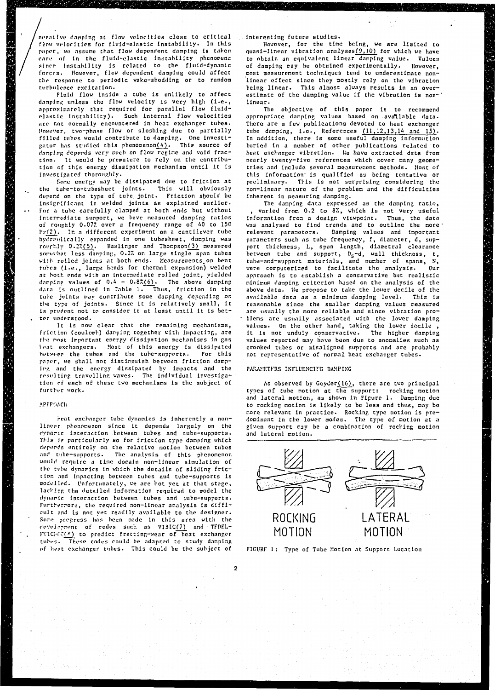**nrr.itlvc damping .it flow velocities close to critical frow velocities for fluid-elastic instability. In this paper, we assume that flou dependent damping la taken care of In the fluid-elastic Instability phenomena since Instability is related to the fluid-dynamic forces. However, flow dependent damping could affect the response to periodic wake-shedding or to random turbulence excitation.** 

**Fluid flow Inside a tube Is unlikely to affect damping unless the flow velocity is very high (i.e.,**  approximately that required for parallel flow fluid**elastic instability). Such Internal flow velocities are not normally encountered in heat exchanger tubes. However, two-phase flow or sloshing due to partially filled tubes would contribute to damping,. One Investigator has studied this phenomenon(4). This source of damping depends very much on flow regime and void fraction. It would be premature to rely on the contribution of this energy dissipation mechanism until it is investigated thoroughly.** 

**Some energy may be dissipated due to friction at the tube-to-tubesheet joints. This will obviously depend on the type of tube joint. Friction should be insigrlfleant in welded joints as explained earlier. For a tuhe carefully clamped at both ends but without interrc-diate support, we have neasured damping ratios of roughly 0.07\* over a frequency range of 40 to 150 I'yf?). In a different experiment on a cantilever tube hyori-ulically expanded In one tubesheet, damping was**  roughly 0.2%(5). Haslinger and Thompson(3) measured somewhat less danping, 0.2% on large single span tubes **with rolled joints at both ends. Measurements.on bent tubes (i.e., large bends for thermal expansion) welded at both ends with an intermediate rolled joint, yielded dnnplrp values of 0.4 - 0.87.(6). The above damping data is outlined in Table 1. Thus, friction in the tube joints may contribute some damping depending on the type of joints. Since it is relatively small, it is prvdent not to consider It at least until it is better understood.** 

**It is now clear that the remaining mechanisms, friction (coulomb) danping together with impacting, are the nnjt Important energy dissipation mechanisms in gas Lent exchangers. Most of this energy is dissipated**  hetweer the tubes and the tube-supports. For this **paper, we shall not distinguish between friction damping and the energy dissipated by Impacts and the resulting travelling waves. The individual investigation of each of these two mechanisms is the subject of further work.** 

#### **APFPWCh**

**Heat exchanger tube dynamics is inherently a nonlinear phenomenon since it depends largely on the dynnric interaction between tubes and tube-supports. This is particularly so for friction type damping which depenc's entirely on the relative motion between tubes and tube-supports. The analysis of this phenomenon would require a time domain non-linear simulation of the tube dynamics in which the details of sliding friction and impacting between tubes and tube-supports is modelled. Unfortunately, ve are not yet at that stage, lacking the detailed information required to model the dynamic Interaction between tubes and tube-supports. Furthermore, the required non-linear analysis is difficult and is not yet readily available to the designer. Sore progress has been made in this area with the development of codes such as VIBIC(7) and TFPF!,-** *F\'lC'rC~(jj)* **to predict fretting-wear of heat exchanger tubi-s. These codes could be adapted to study damping of heat exchanger tubes. This could be the subject of** 

**interesting future studies.** 

**However, for the tine being, we are limited to quasi-linear vibration analyses(9,10) for which we have to obtain an equivalent linear damping value. Values of damping may be obtained experimentally. However, most measurement techniques tend to underestimate nonlinear effect since they mostly rely on the vibration being linear. This almost always results In an overestimate of the damping value If the vibration Is non-' linear.** 

**The objective of this paper la to recommend appropriate damping values based on available data. There are a few publications devoted to heat exchanger tube damping, I.e., References (11,12,13,14 and 15). In addition, there Is some useful damping information buried in a number of other publications related to heat exchanger vibration. We have extracted data from nearly twenty-five references which cover many geometries and include several measurement methods. [lost of this information' Is qualified as being tentative or preliminary. This is not surprising considering the non-linear nature of the problem and the difficulties inherent In measuring damping.** 

**The danping data expressed as the damping ratio,**  varied from 0.2 to 8%, which is not very useful **information from a design viewpoint. Thus, the data**  was analysed to find trends and to outline the more **relevant** parameters. Damping values and important **relevant parameters. Danping values and important parameters such as tube frequency, f, diameter, d, support thickness, L, span length, diametral clearance between tube and support, Ds-d, wall thickness, t, tube-ar.d-support materials, and number of spans, N, were computerized to facilitate the analysis. Our approach is to establish a conservative but realistic minimum danping criterion based on the analysis of the above data. We propose to take the lower decile of the available data as a minimum damping level. This is reasonable since the smaller damping values measured are usually the more reliable and since vibration problems are usually associated with the lower damping values. On the other hand, taking the lower docile , it is not unduly conservative. The higher damping values reported may have been due to anomalies such as crooked tubes or misaligned supports and are probably not representative of normal heat exchanger tubes.** 

#### PARAMETFRS INFLUENCING DAMPING

**As observed by Goyder(16), there are two principal types of tube motion at the support: rocking motion and lateral motion, as shown in Figure 1. Damping due to rocking motion is likely to be less and thus, may be more relevant in practice. Rocking type motion is predominant in the lower modes. The type of motion at a given support may be a combination of rocking motion and lateral notion.** 





**2**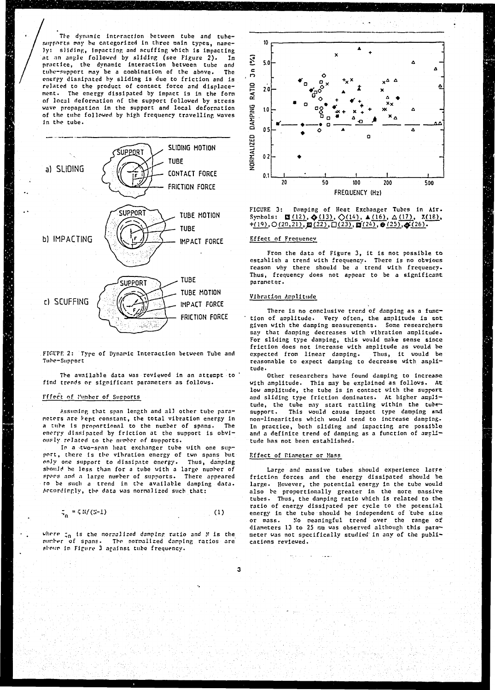The dynamic interaction between tube and tubesupports may be categorized in three main types, namely: sliding, impacting and scuffing which is impacting at an angle followed by sliding (see Figure 2). In practice, the dynamic interaction between tube and tube-support may be a combination of the above. The energy dissipated by sliding is due to friction and is related to the product of contact force and displacement. The energy dissipated by impact is in the form of local deformation of the support followed by stress wave propagation in the support and local deformation of the tube followed by high frequency travelling waves In the tube.



FIGUPE 2: Type of Dynamic Interaction between Tube and Tube-Support

The available data was reviewed in an attempt to find trends or significant parameters as follows.

# Fffect of lumber of Supports

Assuming that span length and all other tube paraneters are kept constant, the total vibration energy in a tube is proportional to the number of spans. The energy dissipated by friction at the support is obviously related to the number of supports.

In a two-span heat exchanger tube with one support, there is the vibration energy of two spans but only one support to dissipate energy. Thus, damping should be less than for a tube with a large number of spans and a large number of supports. There appeared to be such a trend in the available damping data. Accordingly, the data was normalized such that:

$$
\sigma_n = \zeta N/(3-1) \tag{1}
$$

where  $\zeta_0$  is the normalized damping ratio and N is the of spans. The normalized damping ratios are number<sup>1</sup> shour in Figure 3 against tube frequency.



FIGURE 3: Damping of Heat Exchanger Tubes in Air. Synhols: **E** (12),  $\phi$  (13),  $\Diamond$  (14),  $\angle$  (16),  $\triangle$  (17), X(18), +(19), O(20,21), **E**(22),  $\Box$ (23), **E**(24), **e**(25),  $\phi$ (26). ## Effect of Frequency

From the data of Figure 3, it is not possible to establish a trend with frequency. There is no obvious reason why there should be a trend with frequency. Thus, frequency does not appear to be a significant paraneter.

## Vibration Amplitude

There is no conclusive trend of damping as a function of amplitude. Very often, the amplitude is not given with the damping measurements. Some researchers say that danping decreases with vibration amplitude. For sliding type damping, this would make sense since friction does not increase with amplitude as would be expected from linear damping. Thus, it would be reasonable to expect damping to decrease with amplitude.

Other researchers have found damping to increase with amplitude. This may be explained as follows. At low amplitude, the tube is in contact with the support and sliding type friction dominates. At higher amplitude, the tube may start rattling within the tubesupport. This would cause inpact type danping and non-linearities which would tend to increase damping-In practice, both sliding and impacting are possible and a definite trend of damping as a function of amplitude has not been established.

#### Effect of Piameter or Mass-

Large and massive tubes should experience large friction forces and the energy dissipated should be large. However, the potential energy in the tube would also be proportionally greater in the more massive tubes. Thus, the damping ratio which is related to the ratio of energy dissipated per cycle to the potential energy in the tube should be independent of tube size No meaningful trend over the range of or mass. diameters 13 to 25 mm was observed although this parameter was not specifically studied in any of the publications reviewed.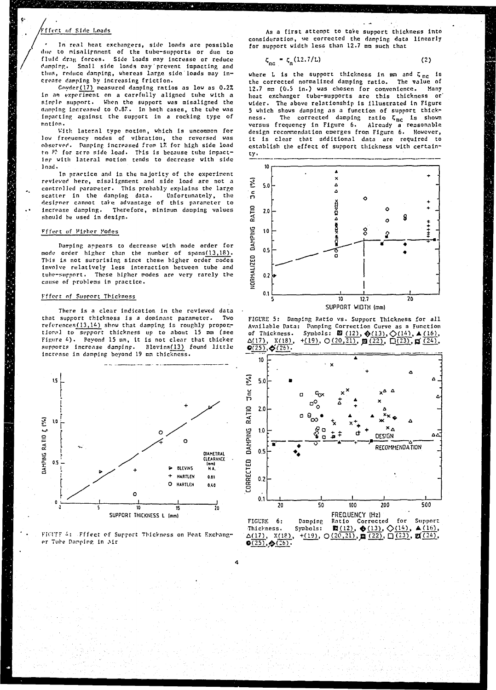# **•ffrrt of Side Loads**

**Tn rcnl heat exchangers, side loads arc possible due to nisnllrnnent of the tube-supports or due to fluid rirai; forces. Side loads nay Increase or reduce damping. Snail side loads may'prevent Impacting arid tlius, reduce damping, whereas large side loads may increase damping by increasing friction.** 

**Coyder( 17) measured damping ratios as low as** *0.27.*  **in an experiment on a carefully aligned tube with a single support. When the support was misaligned the (limping increased to 0.87. In both cases, the tube was impacting against the support in a rocking type of motion.** 

**With lateral type notion, which is uncommon for low frequency nodes of vibration, the reversed was observed. Damping increased from 1Â for high side load**  to  $P^*$  for zero side load. This is because tube impacting with lateral motion tends to decrease with side **load.** 

**In practice and in the majority of the experiment reviewed here, misalignment and side load are not a controlled parameter. This probably explains the large**  scatter in the damping data. **doslfner cannot take advantage of this parameter to increase damping. Therefore, minimum damping values should be used in design.** 

# Fffect of **Hipher** Modes

**Damping appears to decrease with mode order for mode order higher than the number of spans(13,18). This is not surprising since these, higher order modes involve relatively less interaction between tube and tube-support. These higher modes are very rarely the cause of problems in practice.** 

#### **Fffect nf Support Thickness**

**There is a clear indication in the reviewed data**  that support thickness is a dominant parameter. **refcrences(13,1&) show that damping is roughly proportional to support thickness up to about 15 mm (see Figure £) . Beyond 15 mm, it is not clear that thicker supports increase danpinp. Blevins(13) found little increase in damping beyond 19 mm thickness.** 





As a first attempt to take support thickness into consideration, we corrected the damping data linearly for support width less than  $12.7$  mm such that

 $\zeta_{nc} = \zeta_n (12.7/L)$  (2)

where L is the support thickness in  $mn$  and  $\zeta_{nc}$  is **the corrected normalized danplng ratio. The value of 12.7 ran (0.5 in.) was chosen for convenience. Many heat exchanger tube-supports are this thickness or' wider. The above relationship is illustrated In Figure 5 which shows damping as a function of support thickness. The corrected damping ratio Ç <sup>n</sup> <sup>c</sup> Is shown versus frequency In Figure 6. Already a reasonable design reconnendation emerges from Figure 6. However, It Is clear that additional data are required to establish the effect of support thickness with certainty-**



FIGURE 5: Damping Ratio vs. Support Thickness for all Available Data: Damping Correction Curve as a Function of Thickness. Symbols: **El** (12),  $\oint (13), \bigcirc (14), \blacktriangle (16),$ <br> $\Delta(17), \chi(18), + (19), \bigcirc (20,21), \textbf{g} (22), \bigcirc (23), \textbf{g} (24),$  $Q(25), \phi(26).$ 

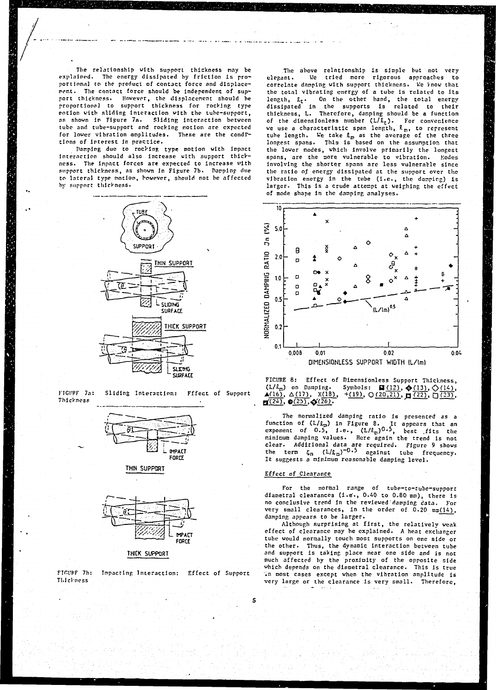**The relationship with support thickness nay be explained. The energy dissipated by friction is proportional to the product of contact force and displacement. The contact force should be independent of support thickness. However, the displacement should be proportional to support thickness for rocking type motion with sliding interaction with the tube-support, as shown in Figure 7a. Sliding interaction between tube and tube-support and rocking notion are expected for lower vibration amplitudes. These are the conditions of Interest in practice.** 

**Pamping due to rockiny, type motion with impact interaction should also increase with support thickness. The inpact forces are expected to increase with support thickness, as shown In Figure 7b. Pampinp due to lateral type notion, however, should not he affected by support thickness.** 



**FIGl'PF 7a: Sliding Interaction: Fffect of Support Thickness** 



**THIN SUPFOTT** 



**THICK SUPPORT** 

**FinuFF 7h: Impacting Interaction: Effect of Support Thickness** 

**The above relationship Is simple but not very elegant» Vie tried noro rigorous approaches to correlate damping with support thickness. Ke know that the total vibrating energy of a tube is related to its length, £,t. On the other hand, the total energy dissipated in the supports is related to their thickness, L. Therefore, damping should be a function of the dimensionless number (L/£ <sup>t</sup> ) . For convenience we use a characteristic span length,** *I* **<sup>m</sup> , to represent tube length. We take** *la* **as the average of the three longest spans. This is based on the assumption that the lower nodes, which Involve primarily the longest spans, are the more vulnerable to vibration. Modes involving the shorter spans are less vulnerable since the ratio o.f energy dissipated at the support over the vibration energy in the tube (i.e., the damping) is larger. This is a crude attempt at weighing the effect of mode shape in the damping analyses.** 



**FICURE 8: Effect of Dinensionless Support Thickness,**   $(L/\ell_{\rm m})$  on Damping. Symbols:  $\blacksquare(12)$ ,  $\spadesuit(13)$ ,  $\bigcirc$  (14), **A**(16), A(17), X(18), +(19), O(20,21), **p**(22), D(23),  $\mathbf{H}^{(24)}$ ,  $\mathbf{0}^{(25)}$ ,  $\mathbf{0}^{(26)}$ .

**The normalized damping ratio is presented as a**  function of (L/L<sub>m</sub>) in Figure 8. It appears that an **exponent of 0.5, i.e., (L/J.tn)0-5, fcest fits the minimum damping values. Here again the trend is not clear. Additional data are required. Figure 9 shows the term Çn (l/£,n)~0 -5 against tube frequency. It suggests a minimum reasonable damping level.** 

# **Effect of Clearance**

5

**For the normal range of tube-to-tube-support diametral clearances (i.e., 0.40 to 0.80mm), there is no conclusive trend in the reviewed'damping data. For**  very small clearances, in the order of 0.20  $mm(14)$ , **damping appears to be larger.** 

**Although surprising at first, the relatively weak effect of clearance may be explained. A heat exchanger tube would normally touch most supports on one side or**  the other. Thus, the dynamic interaction between tube **and support is taking place near one side and is not much affected by the proximity of the opposite side which depends on the diametral clearance. This is true "in most cases except when the vibration amplitude is very large or the clearance is very small. Therefore,**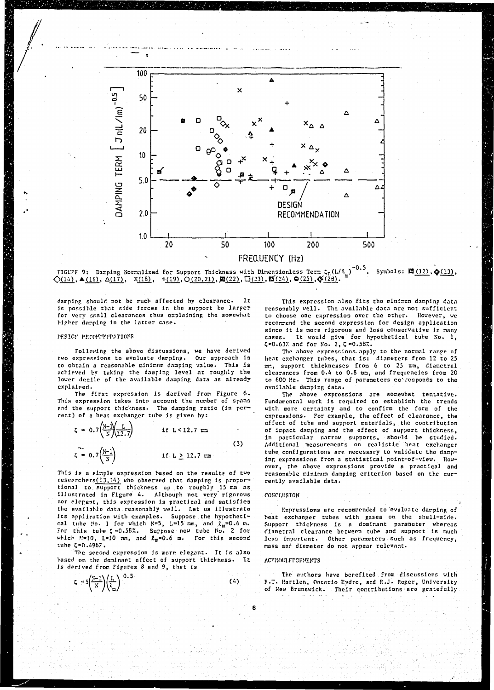

**FIGL'PF 9: Damping Normalized for Support Thickness with Dimensionless Term Cn(L/J. ) -0.5 Symbols: B(12),^(13) ,**   $\Diamond$ (14), **A**(16),  $\triangle$ (17), X(18), +(19),  $\Diamond$ (20.21),  $\Box$ (22),  $\Box$ (23),  $\Box$ (24),  $\Theta$ (25),  $\oint$ (23).

**damping should not be iruch affected by clearance. It Js possible that side forces in the support be larger for very snail clearances thus explaining the somewhat higher damping in the latter case.** 

# PESICP PECONTREPATIONS

**Following the above discussions, we have derived two expressions to evaluate damping. Our approach is to obtain a reasonable minimum damping value. This is achieved by taking the damping level at roughly the lower decile of the available damping data as already explained.** 

**The first expression is derived from Figure 6. This expression takes into account the number of spans**  and the support thickness. The damping ratio (in per**cent) of a heat exchanger tube is given by:** 

$$
\zeta = 0.7 \left( \frac{N - 1}{N} \right) \qquad \qquad \text{if } L < 12.7 \text{ } \Longrightarrow
$$
\n
$$
\zeta = 0.7 \left( \frac{N - 1}{N} \right) \qquad \qquad \text{if } L \geq 12.7 \text{ } \Longrightarrow
$$
\n(3)

**This is a simple expression based on the results of two researchers(13,'&) who observed that damping is propoi tiona] to. support thickness up to roughly 15 mm as illustrated in Figure A. Although not very' rigorous nor elegant, this expression is practical and satisfies the available data reasonably well. Let us illustrate its application with examples. Suppose the hypothetical tube !!o. 1 for which N=5, L=15 mm, and im=0.6 m. For this tube Ç =0.58". Suppose now tube Ho. 2 for which K-10, L-10 nn, and** *lm-0.b* **n. For this second tube Ç=0.496?.** 

**The second expression is more elegant. It is also based on the dominant effect of support thickness. It is derived from Figures 8 and 9, that is** 

$$
\zeta = 5 \left( \frac{x-1}{x} \right) \left( \frac{1}{z_m} \right)^{0.5}
$$
 (4)

**This expression also fits the minimum danping data reasonably well. The available data are not sufficient to choose one expression over the other. However, we recommend the second expression for design application since it is more rigorous and less conservative in many cases. It would give for hypothetical tube Ko. 1,**   $\zeta$ =0.63% and for No. 2,  $\zeta$  =0.58%.

**The above expressions, apply to the normal range of heat exchanger tubes, that is: diameters from 12 to 25 cm, support thicknesses from 6 to 25 en, diametral clearances from 0.4 to 0.8 mi, and frequencies from 20**  to 600 Hz. This range of parameters corresponds to the **available damping data.** 

**The above expressions are somewhat tentative. Fundamental work is required to establish the trends with more certainty and to confirm the form of the expressions. For example, the effect of clearance, the effect of tube and support materials, the contribution of impact danping and the effect of support thickness, in particular narrow supports, shot-Id be studied. Additional measurements on realistic heat exchanger tube configurations are necessary to validate the damping expressions from a statistical point-of-view. Howover, the above expressions provide a practical and reasonable minimum danping criterion based on the currently available data.** 

# **CONCLUSION**

**Kxpresslons are recommended to evaluate damping of heat exchanger tubes with gases on the shell-side. Support thickness is a dominant parameter whereas diametral clearance between tube and support is much less important. Other parameters such as frequency, mass and diameter do not appear relevant.** 

## **ACKKOU.FrGKrcNTS**

**6** 

**The authors have benefited from discussions with H.T. Hartlen, Ontario Hydro, and R.J. Poger, University of Hew Brunswick. Their contributions are gratefully**